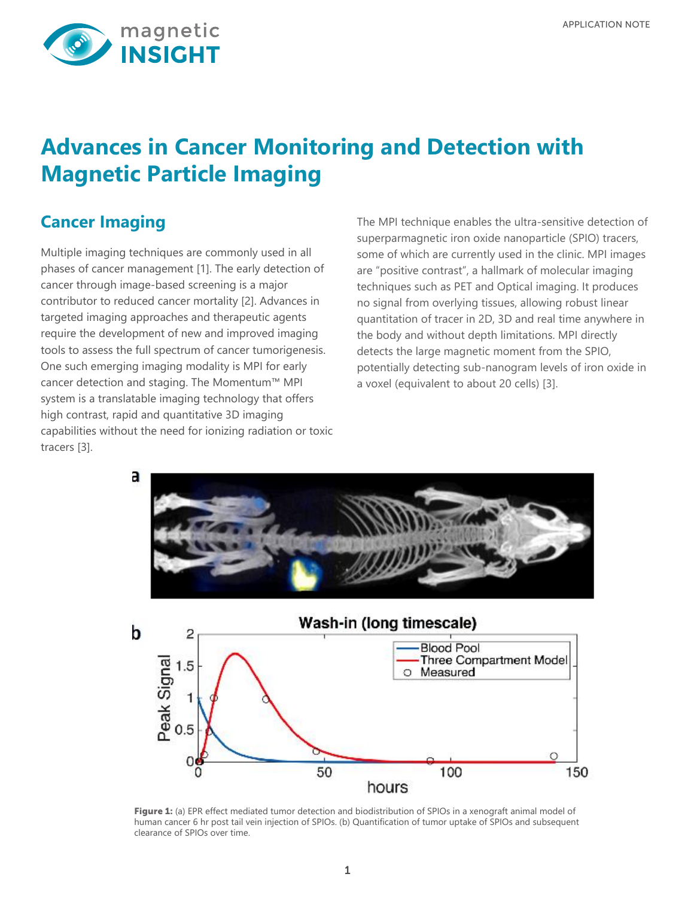

# **Advances in Cancer Monitoring and Detection with Magnetic Particle Imaging**

# **Cancer Imaging**

Multiple imaging techniques are commonly used in all phases of cancer management [1]. The early detection of cancer through image-based screening is a major contributor to reduced cancer mortality [2]. Advances in targeted imaging approaches and therapeutic agents require the development of new and improved imaging tools to assess the full spectrum of cancer tumorigenesis. One such emerging imaging modality is MPI for early cancer detection and staging. The Momentum™ MPI system is a translatable imaging technology that offers high contrast, rapid and quantitative 3D imaging capabilities without the need for ionizing radiation or toxic tracers [3].

The MPI technique enables the ultra-sensitive detection of superparmagnetic iron oxide nanoparticle (SPIO) tracers, some of which are currently used in the clinic. MPI images are "positive contrast", a hallmark of molecular imaging techniques such as PET and Optical imaging. It produces no signal from overlying tissues, allowing robust linear quantitation of tracer in 2D, 3D and real time anywhere in the body and without depth limitations. MPI directly detects the large magnetic moment from the SPIO, potentially detecting sub-nanogram levels of iron oxide in a voxel (equivalent to about 20 cells) [3].



Figure 1: (a) EPR effect mediated tumor detection and biodistribution of SPIOs in a xenograft animal model of human cancer 6 hr post tail vein injection of SPIOs. (b) Quantification of tumor uptake of SPIOs and subsequent clearance of SPIOs over time.